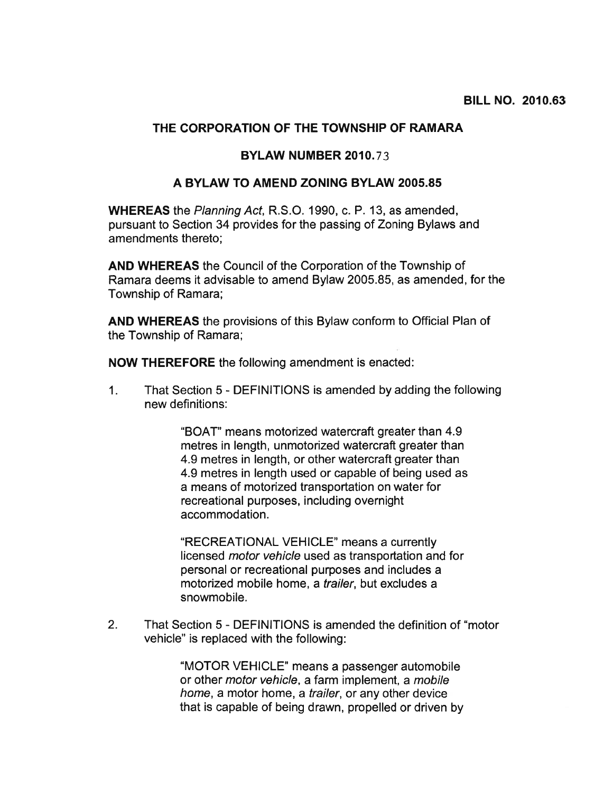# THE CORPORATION OF THE TOWNSHIP OF RAMARA

#### BYLAW NUMBER 2010.73

### A BYLAW TO AMEND ZONING BYLAW 2005.85

WHEREAS the Planning Act, R.S.O. 1990, c. P. 13, as amended, pursuan<sup>t</sup> to Section 34 provides for the passing of Zoning Bylaws and amendments thereto;

AND WHEREAS the Council of the Corporation of the Township of Ramara deems it advisable to amend Bylaw 2005.85, as amended, for the Township of Ramara;

AND WHEREAS the provisions of this Bylaw conform to Official Plan of the Township of Ramara;

NOW THEREFORE the following amendment is enacted:

1. That Section 5 - DEFINITIONS is amended by adding the following new definitions:

> "BOAT" means motorized watercraft greater than 4.9 metres in length, unmotorized watercraft greater than 4.9 metres in length, or other watercraft greater than 4.9 metres in length used or capable of being used as <sup>a</sup> means of motorized transportation on water for recreational purposes, including overnight accommodation.

"RECREATIONAL VEHICLE" means <sup>a</sup> currently licensed motor vehicle used as transportation and for personal or recreational purposes and includes <sup>a</sup> motorized mobile home, <sup>a</sup> trailer, but excludes <sup>a</sup> snowmobile.

2. That Section 5 - DEFINITIONS is amended the definition of 'motor vehicle" is replaced with the following:

> 'MOTOR VEHICLE" means <sup>a</sup> passenger automobile or other motor vehicle, <sup>a</sup> farm implement, <sup>a</sup> mobile home, a motor home, a *trailer*, or any other device that is capable of being drawn, propelled or driven by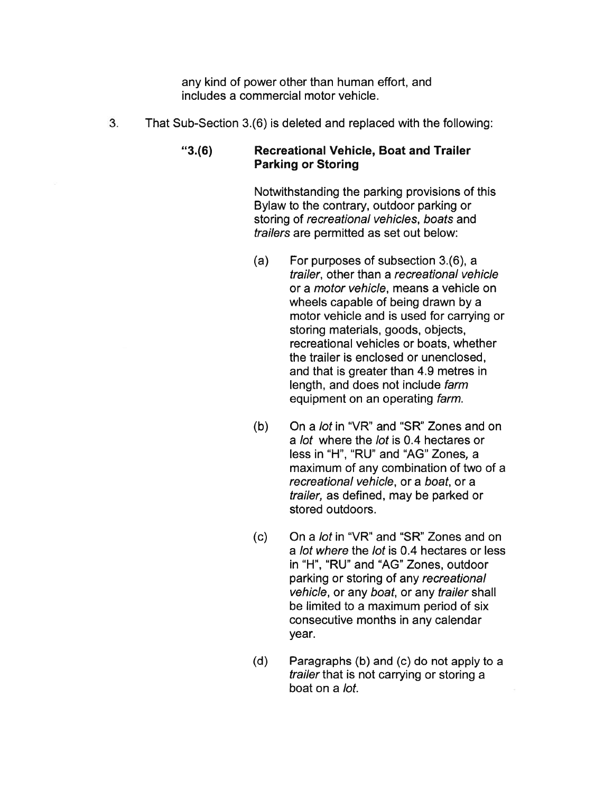any kind of power other than human effort, and includes <sup>a</sup> commercial motor vehicle.

3. That Sub-Section 3.(6) is deleted and replaced with the following:

## "3.(6) Recreational Vehicle, Boat and Trailer Parking or Storing

Notwithstanding the parking provisions of this Bylaw to the contrary, outdoor parking or storing of recreational vehicles, boats and trailers are permitted as set out below:

- (a) For purposes of subsection 3.(6), <sup>a</sup> trailer, other than <sup>a</sup> recreational vehicle or <sup>a</sup> motor vehicle, means <sup>a</sup> vehicle on wheels capable of being drawn by <sup>a</sup> motor vehicle and is used for carrying or storing materials, goods, objects, recreational vehicles or boats, whether the trailer is enclosed or unenclosed, and that is greater than 4.9 metres in length, and does not include farm equipment on an operating farm.
- (b) On a *lot* in "VR" and "SR" Zones and on <sup>a</sup> lot where the lot is 0.4 hectares or less in "H", "RU" and "AG" Zones, <sup>a</sup> maximum of any combination of two of <sup>a</sup> recreational vehicle, or <sup>a</sup> boat, or <sup>a</sup> trailer, as defined, may be parked or stored outdoors.
- (c) On <sup>a</sup> lot in "VR" and "SR" Zones and on <sup>a</sup> lot where the lot is 0.4 hectares or less in "H", "RU" and "AG" Zones, outdoor parking or storing of any recreational vehicle, or any boat, or any trailer shall be limited to <sup>a</sup> maximum period of six consecutive months in any calendar year.
- (d) Paragraphs (b) and (c) do not apply to <sup>a</sup> trailer that is not carrying or storing <sup>a</sup> boat on <sup>a</sup> lot.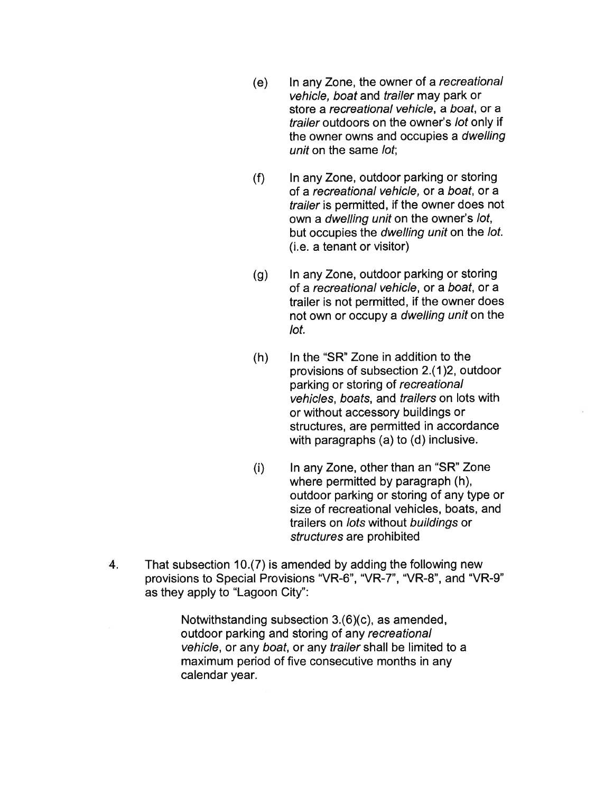- (e) In any Zone, the owner of <sup>a</sup> recreational vehicle, boat and trailer may park or store <sup>a</sup> recreational vehicle, <sup>a</sup> boat, or <sup>a</sup> trailer outdoors on the owner's lot only if the owner owns and occupies <sup>a</sup> dwelling unit on the same lot:
- (f) In any Zone, outdoor parking or storing of <sup>a</sup> recreational vehicle, or <sup>a</sup> boat, or <sup>a</sup> trailer is permitted, if the owner does not own <sup>a</sup> dwelling unit on the owner's lot, but occupies the dwelling unit on the lot. (i.e. <sup>a</sup> tenant or visitor)
- (g) In any Zone, outdoor parking or storing of <sup>a</sup> recreational vehicle, or <sup>a</sup> boat, or <sup>a</sup> trailer is not permitted, if the owner does not own or occupy <sup>a</sup> dwelling unit on the lot.
- (h) In the "SR" Zone in addition to the provisions of subsection 2.(1 )2, outdoor parking or storing of recreational vehicles, boats, and trailers on lots with or without accessory buildings or structures, are permitted in accordance with paragraphs (a) to (d) inclusive.
- $(i)$  In any Zone, other than an "SR" Zone where permitted by paragraph (h), outdoor parking or storing of any type or size of recreational vehicles, boats, and trailers on lots without buildings or structures are prohibited
- 4. That subsection 1O.(7) is amended by adding the following new provisions to Special Provisions "VR-6", "VR-7", "VR-8", and "VR-9" as they apply to "Lagoon City":

Notwithstanding subsection 3.(6)(c), as amended, outdoor parking and storing of any recreational vehicle, or any boat, or any trailer shall be limited to <sup>a</sup> maximum period of five consecutive months in any calendar year.